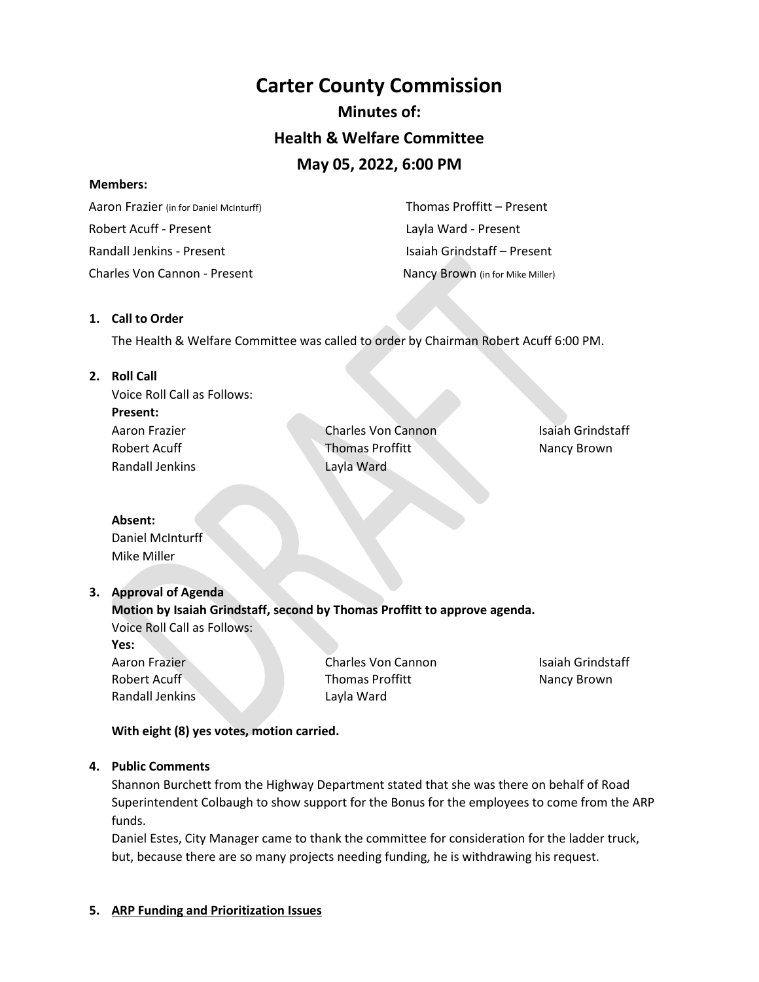# **Carter County Commission Minutes of: Health & Welfare Committee May 05, 2022, 6:00 PM**

#### **Members:**

 Aaron Frazier (in for Daniel McInturff) Robert Acuff - Present Randall Jenkins - Present Charles Von Cannon - Present Nancy Brown (in for Mike Miller)

 Thomas Proffitt – Present Layla Ward - Present Isaiah Grindstaff – Present

#### **1. Call to Order**

The Health & Welfare Committee was called to order by Chairman Robert Acuff 6:00 PM.

#### **2. Roll Call**

Voice Roll Call as Follows: **Present:** Aaron Frazier Robert Acuff Randall Jenkins

Charles Von Cannon Thomas Proffitt Layla Ward

Isaiah Grindstaff Nancy Brown

## **Absent:**

Daniel McInturff Mike Miller

## **3. Approval of Agenda**

**Motion by Isaiah Grindstaff, second by Thomas Proffitt to approve agenda.**  Voice Roll Call as Follows:

**Yes:**

Aaron Frazier Robert Acuff Randall Jenkins Charles Von Cannon Thomas Proffitt Layla Ward

Isaiah Grindstaff Nancy Brown

**With eight (8) yes votes, motion carried.** 

## **4. Public Comments**

Shannon Burchett from the Highway Department stated that she was there on behalf of Road Superintendent Colbaugh to show support for the Bonus for the employees to come from the ARP funds.

Daniel Estes, City Manager came to thank the committee for consideration for the ladder truck, but, because there are so many projects needing funding, he is withdrawing his request.

#### **5. ARP Funding and Prioritization Issues**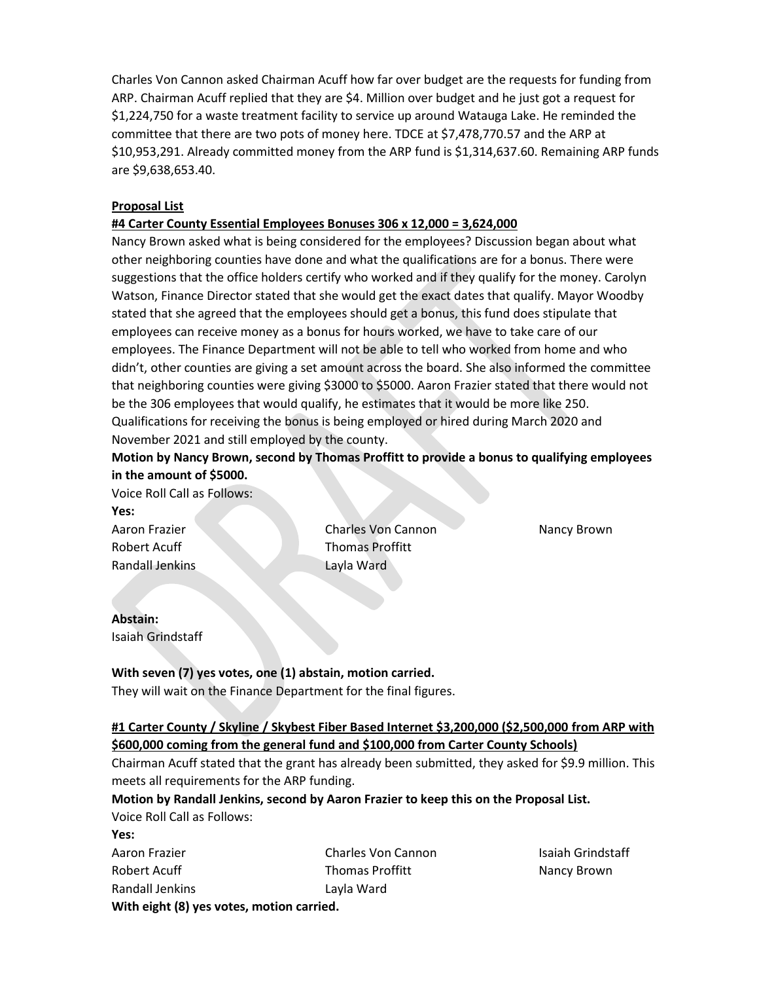Charles Von Cannon asked Chairman Acuff how far over budget are the requests for funding from ARP. Chairman Acuff replied that they are \$4. Million over budget and he just got a request for \$1,224,750 for a waste treatment facility to service up around Watauga Lake. He reminded the committee that there are two pots of money here. TDCE at \$7,478,770.57 and the ARP at \$10,953,291. Already committed money from the ARP fund is \$1,314,637.60. Remaining ARP funds are \$9,638,653.40.

### **Proposal List**

#### **#4 Carter County Essential Employees Bonuses 306 x 12,000 = 3,624,000**

Nancy Brown asked what is being considered for the employees? Discussion began about what other neighboring counties have done and what the qualifications are for a bonus. There were suggestions that the office holders certify who worked and if they qualify for the money. Carolyn Watson, Finance Director stated that she would get the exact dates that qualify. Mayor Woodby stated that she agreed that the employees should get a bonus, this fund does stipulate that employees can receive money as a bonus for hours worked, we have to take care of our employees. The Finance Department will not be able to tell who worked from home and who didn't, other counties are giving a set amount across the board. She also informed the committee that neighboring counties were giving \$3000 to \$5000. Aaron Frazier stated that there would not be the 306 employees that would qualify, he estimates that it would be more like 250. Qualifications for receiving the bonus is being employed or hired during March 2020 and November 2021 and still employed by the county.

**Motion by Nancy Brown, second by Thomas Proffitt to provide a bonus to qualifying employees in the amount of \$5000.** 

Voice Roll Call as Follows: **Yes:**

Aaron Frazier Robert Acuff Randall Jenkins

Charles Von Cannon Thomas Proffitt Layla Ward

Nancy Brown

#### **Abstain:** Isaiah Grindstaff

## **With seven (7) yes votes, one (1) abstain, motion carried.**

They will wait on the Finance Department for the final figures.

## **#1 Carter County / Skyline / Skybest Fiber Based Internet \$3,200,000 (\$2,500,000 from ARP with \$600,000 coming from the general fund and \$100,000 from Carter County Schools)**

Chairman Acuff stated that the grant has already been submitted, they asked for \$9.9 million. This meets all requirements for the ARP funding.

## **Motion by Randall Jenkins, second by Aaron Frazier to keep this on the Proposal List.**

Voice Roll Call as Follows:

**Yes:** Aaron Frazier Robert Acuff Randall Jenkins Charles Von Cannon Thomas Proffitt Layla Ward **With eight (8) yes votes, motion carried.** 

Isaiah Grindstaff Nancy Brown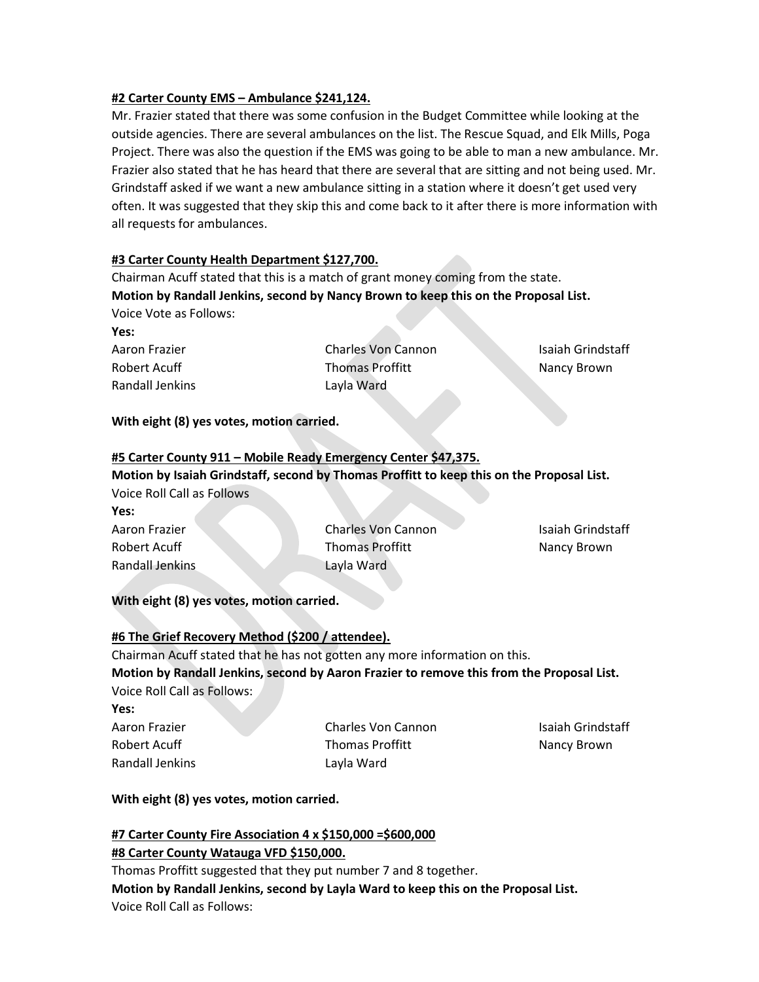#### **#2 Carter County EMS – Ambulance \$241,124.**

Mr. Frazier stated that there was some confusion in the Budget Committee while looking at the outside agencies. There are several ambulances on the list. The Rescue Squad, and Elk Mills, Poga Project. There was also the question if the EMS was going to be able to man a new ambulance. Mr. Frazier also stated that he has heard that there are several that are sitting and not being used. Mr. Grindstaff asked if we want a new ambulance sitting in a station where it doesn't get used very often. It was suggested that they skip this and come back to it after there is more information with all requests for ambulances.

#### **#3 Carter County Health Department \$127,700.**

Chairman Acuff stated that this is a match of grant money coming from the state. **Motion by Randall Jenkins, second by Nancy Brown to keep this on the Proposal List.** Voice Vote as Follows:

**Yes:**

Aaron Frazier Robert Acuff Randall Jenkins

Charles Von Cannon Thomas Proffitt Layla Ward

Isaiah Grindstaff Nancy Brown

#### **With eight (8) yes votes, motion carried.**

#### **#5 Carter County 911 – Mobile Ready Emergency Center \$47,375.**

**Motion by Isaiah Grindstaff, second by Thomas Proffitt to keep this on the Proposal List.** Voice Roll Call as Follows

**Yes:** Aaron Frazier Robert Acuff Randall Jenkins

Charles Von Cannon Thomas Proffitt Layla Ward

Isaiah Grindstaff Nancy Brown

**With eight (8) yes votes, motion carried.** 

#### **#6 The Grief Recovery Method (\$200 / attendee).**

Chairman Acuff stated that he has not gotten any more information on this. **Motion by Randall Jenkins, second by Aaron Frazier to remove this from the Proposal List.**  Voice Roll Call as Follows:

**Yes:**

Aaron Frazier Robert Acuff Randall Jenkins

Charles Von Cannon Thomas Proffitt Layla Ward

Isaiah Grindstaff Nancy Brown

#### **With eight (8) yes votes, motion carried.**

#### **#7 Carter County Fire Association 4 x \$150,000 =\$600,000**

#### **#8 Carter County Watauga VFD \$150,000.**

Thomas Proffitt suggested that they put number 7 and 8 together. **Motion by Randall Jenkins, second by Layla Ward to keep this on the Proposal List.** Voice Roll Call as Follows: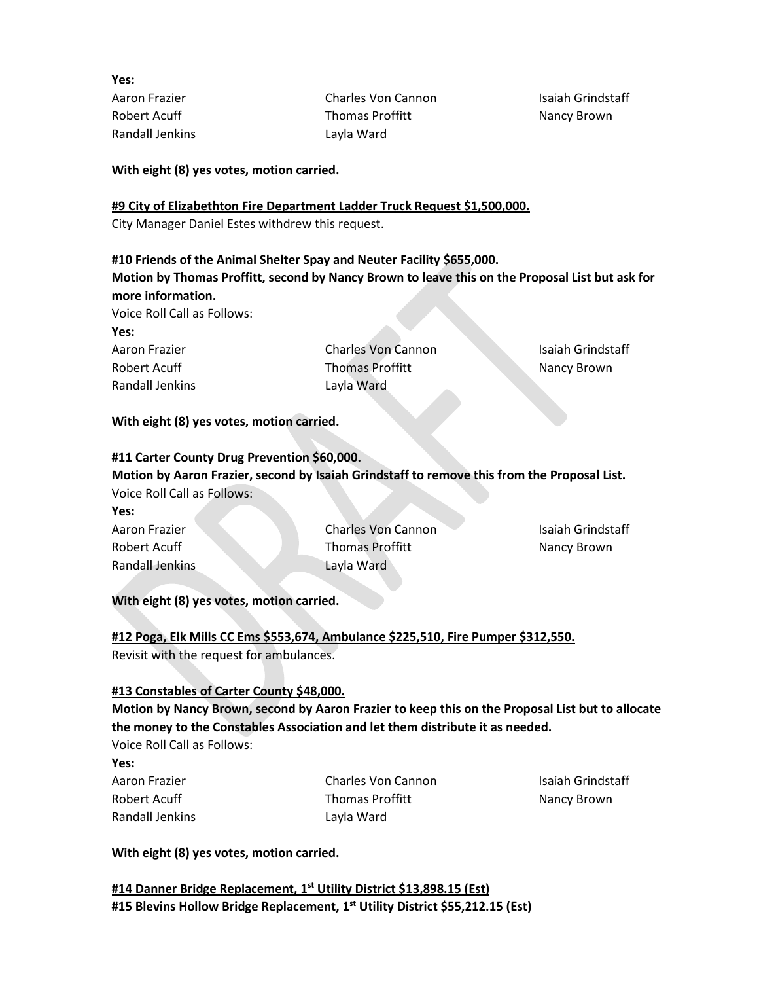**Yes:** Aaron Frazier Robert Acuff Randall Jenkins

Charles Von Cannon Thomas Proffitt Layla Ward

Isaiah Grindstaff Nancy Brown

**With eight (8) yes votes, motion carried.** 

#### **#9 City of Elizabethton Fire Department Ladder Truck Request \$1,500,000.**

City Manager Daniel Estes withdrew this request.

#### **#10 Friends of the Animal Shelter Spay and Neuter Facility \$655,000.**

**Motion by Thomas Proffitt, second by Nancy Brown to leave this on the Proposal List but ask for more information.** 

Voice Roll Call as Follows: **Yes:**

Aaron Frazier Robert Acuff Randall Jenkins

Charles Von Cannon Thomas Proffitt Layla Ward

Isaiah Grindstaff Nancy Brown

#### **With eight (8) yes votes, motion carried.**

#### **#11 Carter County Drug Prevention \$60,000.**

**Motion by Aaron Frazier, second by Isaiah Grindstaff to remove this from the Proposal List.**  Voice Roll Call as Follows:

| Yes:            |                           |                   |
|-----------------|---------------------------|-------------------|
| Aaron Frazier   | <b>Charles Von Cannon</b> | Isaiah Grindstaff |
| Robert Acuff    | <b>Thomas Proffitt</b>    | Nancy Brown       |
| Randall Jenkins | Lavla Ward                |                   |

**With eight (8) yes votes, motion carried.** 

**#12 Poga, Elk Mills CC Ems \$553,674, Ambulance \$225,510, Fire Pumper \$312,550.**  Revisit with the request for ambulances.

#### **#13 Constables of Carter County \$48,000.**

**Motion by Nancy Brown, second by Aaron Frazier to keep this on the Proposal List but to allocate the money to the Constables Association and let them distribute it as needed.** 

Voice Roll Call as Follows:

**Yes:**

Aaron Frazier Robert Acuff Randall Jenkins Charles Von Cannon Thomas Proffitt Layla Ward

Isaiah Grindstaff Nancy Brown

**With eight (8) yes votes, motion carried.** 

**#14 Danner Bridge Replacement, 1st Utility District \$13,898.15 (Est) #15 Blevins Hollow Bridge Replacement, 1 st Utility District \$55,212.15 (Est)**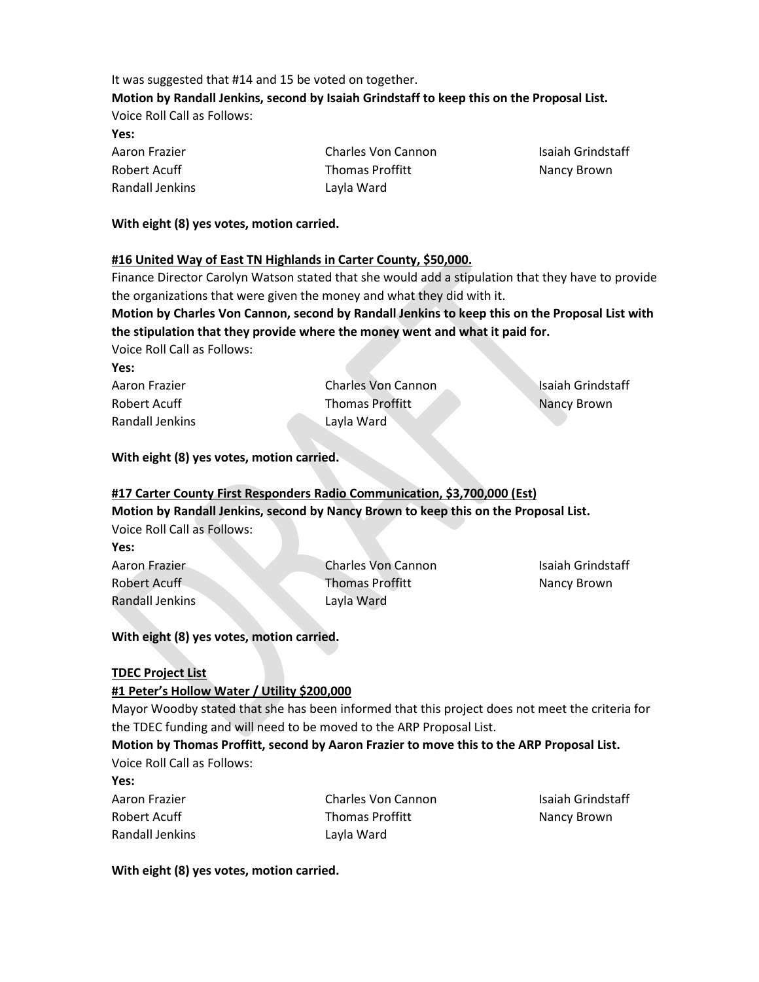## It was suggested that #14 and 15 be voted on together. **Motion by Randall Jenkins, second by Isaiah Grindstaff to keep this on the Proposal List.** Voice Roll Call as Follows: **Yes:**

| Aaron Frazier   | Charles Von Cannon     | Isaiah Grindstaff |
|-----------------|------------------------|-------------------|
| Robert Acuff    | <b>Thomas Proffitt</b> | Nancy Brown       |
| Randall Jenkins | Lavla Ward             |                   |

#### **With eight (8) yes votes, motion carried.**

#### **#16 United Way of East TN Highlands in Carter County, \$50,000.**

Finance Director Carolyn Watson stated that she would add a stipulation that they have to provide the organizations that were given the money and what they did with it.

**Motion by Charles Von Cannon, second by Randall Jenkins to keep this on the Proposal List with the stipulation that they provide where the money went and what it paid for.** 

Voice Roll Call as Follows:

| ۰.<br>__ |
|----------|
|----------|

Aaron Frazier Robert Acuff Randall Jenkins Charles Von Cannon Thomas Proffitt Layla Ward

Isaiah Grindstaff Nancy Brown

#### **With eight (8) yes votes, motion carried.**

## **#17 Carter County First Responders Radio Communication, \$3,700,000 (Est) Motion by Randall Jenkins, second by Nancy Brown to keep this on the Proposal List.**  Voice Roll Call as Follows:

**Yes:** Aaron Frazier Robert Acuff Randall Jenkins

Charles Von Cannon Thomas Proffitt Layla Ward

Isaiah Grindstaff Nancy Brown

## **With eight (8) yes votes, motion carried.**

#### **TDEC Project List**

## **#1 Peter's Hollow Water / Utility \$200,000**

Mayor Woodby stated that she has been informed that this project does not meet the criteria for the TDEC funding and will need to be moved to the ARP Proposal List.

## **Motion by Thomas Proffitt, second by Aaron Frazier to move this to the ARP Proposal List.**

Voice Roll Call as Follows:

**Yes:**

Aaron Frazier Robert Acuff Randall Jenkins Charles Von Cannon Thomas Proffitt Layla Ward

Isaiah Grindstaff Nancy Brown

#### **With eight (8) yes votes, motion carried.**